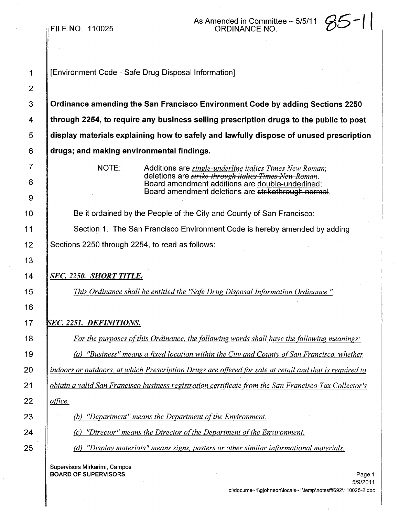FILE NO. 110025

As Amended in Committee – 5/5/11  $\mathcal{G}5$  – | |

1 | [Environment Code - Safe Drug Disposal Information]

 Ordinance amending the San Francisco Environment Code by adding Sections 2250 **through 2254, to require any business selling prescription drugs to the public to post**  display materials explaining how to safely and lawfully dispose of unused prescription | drugs; and making environmental findings.

> NOTE: Additions are *single-underline italics Times New Roman;* deletions are *strike through itelics Times* }kw *Romen.* Board amendment additions are double-underlined; Board amendment deletions are strikethrough normal.

**Be it ordained by the People of the City and County of San Francisco: Number 1. Section 1. The San Francisco Environment Code is hereby amended by adding** 12 | Sections 2250 through 2254, to read as follows:

# *SEC. 2250. SHORT TITLE.*

*This Ordinance shall be entitled the "Safe Drug Disposal Information Ordinance.* "

# *SEC.* 2251. *DEFINITIONS.*

 *For the purposes o{this Ordinance, the following words shall have the following meanings: Ca) "Business" means a fixed location within the City and County ofSan Francisco, whether*  $\parallel$  indoors or outdoors, at which Prescription Drugs are offered for sale at retail and that is required to *obtain a valid San Francisco business registration certificate from the San Francisco Tax Collector's*

*office.*

**6** (b) *"Department" means the Department of the Environment.* 

*Cc) "Director" means the Director ofthe Department ofthe Environment.*

**Codiff** *Cd) "Display materials" means signs, posters or other similar informational materials.* 

Supervisors Mirkarimi, Campos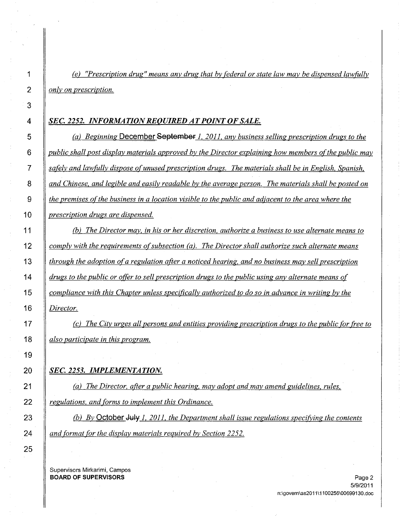*Cel "Prescription drug" means any drug that by federal or state law may be dispensed lawfully only on prescription.*

## *SEC.* **2252.** *INFORMATIONREQUIRED ATPOINT OF SALE.*

 *Cal Beginning* **December September** 1. *2011. any business selling prescription drugs to the public shall post display materials approved by the Director explaining how members ofthe public may safely and lawfully dispose ofunused prescription drugs. The materials shall be in English. Spanish.* 8 and Chinese, and legible and easily readable by the average person. The materials shall be posted on  $\parallel$  the premises of the business in a location visible to the public and adjacent to the area where the *prescription drugs are dispensed.*

 *(Ql The Director may. in his or her discretion. authorize a business to use alternate means to comply with the requirements ofsubsection Cal. The Director shall authorize such alternate means through the adoption ofa regulation after a noticed hearing. and no business may sell prescription*  $\parallel$  drugs to the public or offer to sell prescription drugs to the public using any alternate means of *compliance with this Chapter unless specifically authorized to do so in advance in writing by the Director.*

17  $\parallel$  (c) The City urges all persons and entities providing prescription drugs to the public for free to *also participate in this program.*

### *SEC.* **2253.** *IMPLEMENTATION.*

 *(al The Director. after a public hearing. may adopt and may amend guidelines. rules. regulations. and forms to implement this Ordinance.*

**(b)** *By* October July 1, 2011, the Department shall issue regulations specifying the contents *and format for the display materials required by Section 2252.*

Supervisors Mirkarimi, Campos **BOARD OF SUPERVISORS** Page 2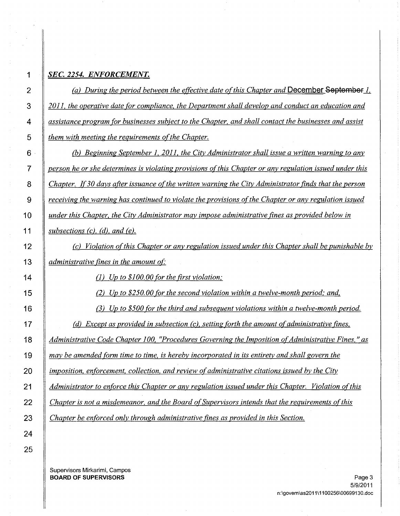# *SEC.* **2254.** *ENFORCEMENT.*

 *(a) During the period between the effective date ofthis Chapter and* **December September-L.** *2011, the operative date for compliance, the Department shall develop and conduct an education and assistance program for businesses subject to the Chapter, and shall contact the businesses and assist let them with meeting the <u>requirements of the Chapter</u>.* 

 . *(b) Beginning September 1,2011, the City Administrator shall issue a written warning to any person he or she determines is violating provisions ofthis Chapter or any regulation issued under this Chapter. 1(30 days after issuance ofthe written warning the City Administrator finds that the person receiving the warning has continued to violate the provisions ofthe Chapter or any regulation issued under this Chapter, the City Administrator may impose administrative fines as provided below in subsections (c), (d), and (e).*

 *(c) Violation ofthis Chapter or any regulation issued under this Chapter shall be punishable by administrative fines in the amount of"*

(1) *Up to \$100. 00 for the first violation:*

(2) *Up to \$250. 00 for the second violation within a twelve-month period: and,*

 (3) *Up to \$500 for the third and subsequent violations within a twelve-month period. (d) Except as provided in subsection* (d, *setting forth the amount o(administrative fines, Administrative Code Chapter 100, "Procedures Governing the Imposition ofAdministrative Fines,* " *as may be amended form time to time, is hereby incorporated in its entirety and shall govern the imposition, enforcement, collection, and review o(administrative citations issued by the City Administrator to enforce this Chapter or any regulation issued under this Chapter. Violation ofthis Chapter is not a misdemeanor, and the Board ofSupervisors intends that the requirements ofthis Chapter be enforced only through administrative fines as provided in this Section.*

Supervisors Mirkarimi, Campos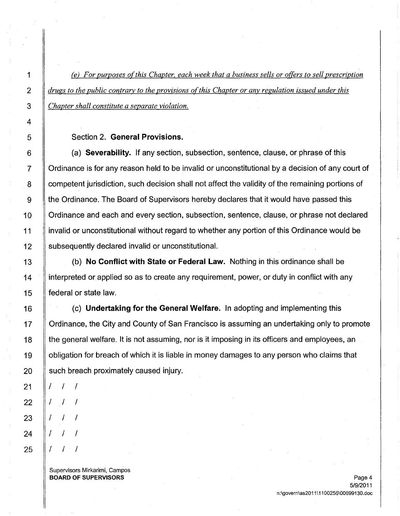1 *eel For purposes ofthis Chapter. each week that a business sells or offers to sell prescription 2 drugs to the public contrary to the provisions ofthis Chapter or any regulation issued under this 3 Chapter shall constitute a separate violation.*

#### 5 **Section 2. General Provisions.**

 $6 \parallel$  (a) Severability. If any section, subsection, sentence, clause, or phrase of this 7 Critionance is for any reason held to be invalid or unconstitutional by a decision of any court of 8 **competent jurisdiction, such decision shall not affect the validity of the remaining portions of** 9 Ithe Ordinance. The Board of Supervisors hereby declares that it would have passed this 10 | Ordinance and each and every section, subsection, sentence, clause, or phrase not declared 11 invalid or unconstitutional without regard to whether any portion of this Ordinance would be 12 Subsequently declared invalid or unconstitutional.

13  $\parallel$  (b) No Conflict with State or Federal Law. Nothing in this ordinance shall be 14 If interpreted or applied so as to create any requirement, power, or duty in conflict with any 15 **lederal or state law.** 

16 **(c)** Undertaking for the General Welfare. In adopting and implementing this 17 If Ordinance, the City and County of San Francisco is assuming an undertaking only to promote 18 **the general welfare. It is not assuming, nor is it imposing in its officers and employees, an** 19 | obligation for breach of which it is liable in money damages to any person who claims that such breach proximately caused injury.

Supervisors Mirkarimi, Campos **BOARD OF SUPERVISORS** Page 4

/ / /

/ / /

/ / /

/ / /

/ / /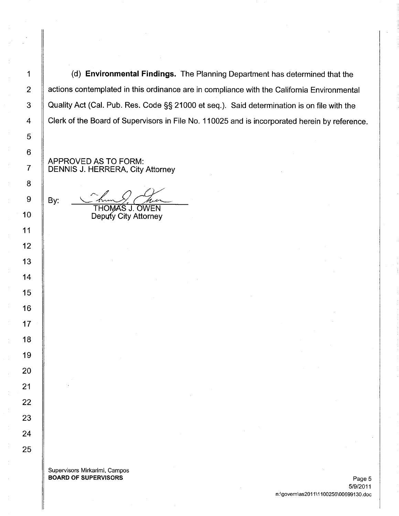(d) **Environmental Findings.** The Planning Department has determined that the 2 | actions contemplated in this ordinance are in compliance with the California Environmental 3 | Quality Act (Cal. Pub. Res. Code §§ 21000 et seq.). Said determination is on file with the 4 Clerk of the Board of Supervisors in File No. 110025 and is incorporated herein by reference.

APPROVED AS TO FORM: DENNIS J. HERRERA, City Attorney

**THOMAS J. OWEN** Deputy City Attorney

Supervisors Mirkarimi, Campos BOARD OF SUPERVISORS **Page 5**